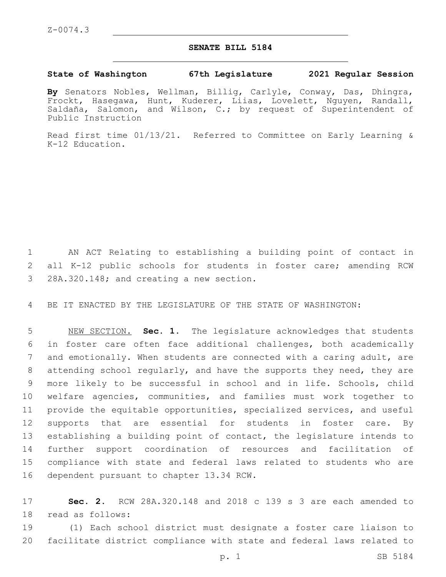## **SENATE BILL 5184**

## **State of Washington 67th Legislature 2021 Regular Session**

**By** Senators Nobles, Wellman, Billig, Carlyle, Conway, Das, Dhingra, Frockt, Hasegawa, Hunt, Kuderer, Liias, Lovelett, Nguyen, Randall, Saldaña, Salomon, and Wilson, C.; by request of Superintendent of Public Instruction

Read first time 01/13/21. Referred to Committee on Early Learning & K-12 Education.

1 AN ACT Relating to establishing a building point of contact in 2 all K-12 public schools for students in foster care; amending RCW 3 28A.320.148; and creating a new section.

4 BE IT ENACTED BY THE LEGISLATURE OF THE STATE OF WASHINGTON:

 NEW SECTION. **Sec. 1.** The legislature acknowledges that students in foster care often face additional challenges, both academically and emotionally. When students are connected with a caring adult, are attending school regularly, and have the supports they need, they are more likely to be successful in school and in life. Schools, child welfare agencies, communities, and families must work together to provide the equitable opportunities, specialized services, and useful 12 supports that are essential for students in foster care. By establishing a building point of contact, the legislature intends to further support coordination of resources and facilitation of compliance with state and federal laws related to students who are dependent pursuant to chapter 13.34 RCW.

17 **Sec. 2.** RCW 28A.320.148 and 2018 c 139 s 3 are each amended to 18 read as follows:

19 (1) Each school district must designate a foster care liaison to 20 facilitate district compliance with state and federal laws related to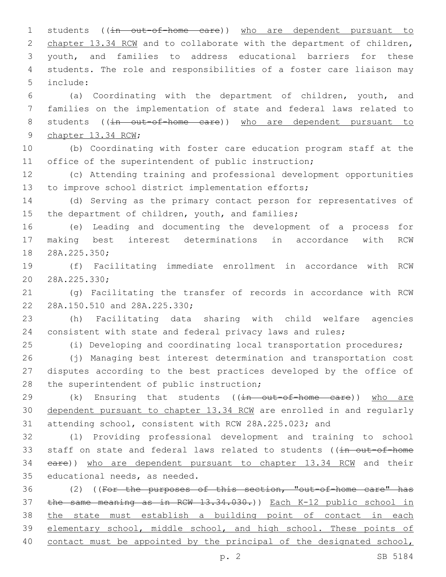1 students ((in out-of-home care)) who are dependent pursuant to 2 chapter 13.34 RCW and to collaborate with the department of children, youth, and families to address educational barriers for these students. The role and responsibilities of a foster care liaison may include:5

 (a) Coordinating with the department of children, youth, and families on the implementation of state and federal laws related to 8 students ((in out-of-home care)) who are dependent pursuant to 9 chapter 13.34 RCW;

 (b) Coordinating with foster care education program staff at the 11 office of the superintendent of public instruction;

 (c) Attending training and professional development opportunities to improve school district implementation efforts;

 (d) Serving as the primary contact person for representatives of 15 the department of children, youth, and families;

 (e) Leading and documenting the development of a process for making best interest determinations in accordance with RCW 18 28A.225.350;

 (f) Facilitating immediate enrollment in accordance with RCW 20 28A.225.330;

 (g) Facilitating the transfer of records in accordance with RCW 22 28A.150.510 and 28A.225.330;

 (h) Facilitating data sharing with child welfare agencies consistent with state and federal privacy laws and rules;

(i) Developing and coordinating local transportation procedures;

 (j) Managing best interest determination and transportation cost disputes according to the best practices developed by the office of 28 the superintendent of public instruction;

29 (k) Ensuring that students ((in out-of-home care)) who are dependent pursuant to chapter 13.34 RCW are enrolled in and regularly attending school, consistent with RCW 28A.225.023; and

 (l) Providing professional development and training to school 33 staff on state and federal laws related to students ((in out-of-home care)) who are dependent pursuant to chapter 13.34 RCW and their 35 educational needs, as needed.

 (2) ((For the purposes of this section, "out-of-home care" has the same meaning as in RCW 13.34.030.)) Each K-12 public school in the state must establish a building point of contact in each elementary school, middle school, and high school. These points of contact must be appointed by the principal of the designated school,